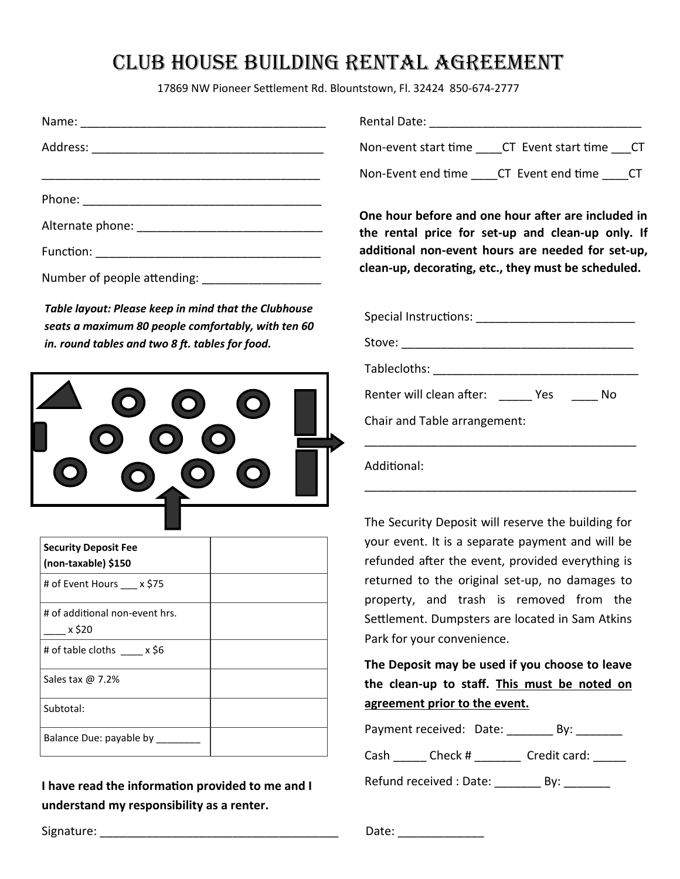## Club house building rental agreement

17869 NW Pioneer Settlement Rd. Blountstown, Fl. 32424 850-674-2777

*Table layout: Please keep in mind that the Clubhouse seats a maximum 80 people comfortably, with ten 60 in. round tables and two 8 ft. tables for food.*



| <b>Security Deposit Fee</b><br>(non-taxable) \$150 |  |
|----------------------------------------------------|--|
| # of Event Hours x \$75                            |  |
| # of additional non-event hrs.<br>x \$20           |  |
| # of table cloths x \$6                            |  |
| Sales tax $\omega$ 7.2%                            |  |
| Subtotal:                                          |  |
| Balance Due: payable by                            |  |

**I have read the information provided to me and I understand my responsibility as a renter.**

Rental Date: \_\_\_\_\_\_\_\_\_\_\_\_\_\_\_\_\_\_\_\_\_\_\_\_\_\_\_\_\_\_\_\_

Non-event start time \_\_\_\_CT Event start time \_\_\_CT

Non-Event end time \_\_\_\_CT Event end time \_\_\_\_CT

**One hour before and one hour after are included in the rental price for set-up and clean-up only. If additional non-event hours are needed for set-up, clean-up, decorating, etc., they must be scheduled.** 

| Renter will clean after: Yes |  | No |  |  |  |
|------------------------------|--|----|--|--|--|
| Chair and Table arrangement: |  |    |  |  |  |
| Additional:                  |  |    |  |  |  |

The Security Deposit will reserve the building for your event. It is a separate payment and will be refunded after the event, provided everything is returned to the original set-up, no damages to property, and trash is removed from the Settlement. Dumpsters are located in Sam Atkins Park for your convenience.

**The Deposit may be used if you choose to leave the clean-up to staff. This must be noted on agreement prior to the event.**

|      | Payment received: Date: | Bv:          |
|------|-------------------------|--------------|
| Cash | Check #                 | Credit card: |
|      |                         |              |

Refund received : Date: \_\_\_\_\_\_\_\_\_\_ By: \_\_\_\_\_\_\_

Signature: The contract of the contract of the contract of the contract of the contract of the contract of the contract of the contract of the contract of the contract of the contract of the contract of the contract of the

| Date: |  |  |  |  |  |
|-------|--|--|--|--|--|
|       |  |  |  |  |  |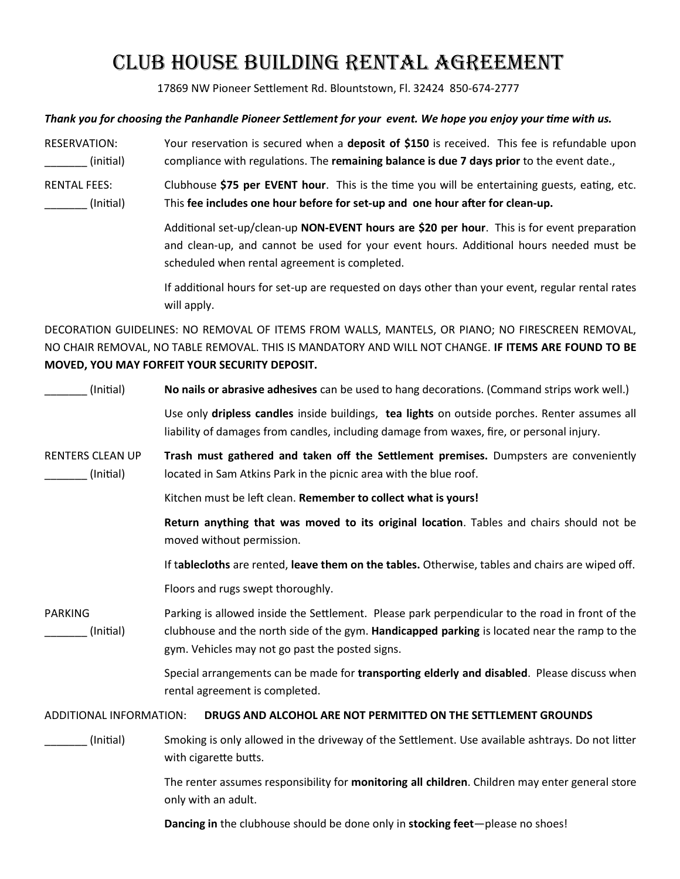# Club house building rental agreement

17869 NW Pioneer Settlement Rd. Blountstown, Fl. 32424 850-674-2777

#### *Thank you for choosing the Panhandle Pioneer Settlement for your event. We hope you enjoy your time with us.*

RESERVATION: Your reservation is secured when a **deposit of \$150** is received. This fee is refundable upon \_\_\_\_\_\_\_ (initial) compliance with regulations. The **remaining balance is due 7 days prior** to the event date.,

RENTAL FEES: Clubhouse **\$75 per EVENT hour**. This is the time you will be entertaining guests, eating, etc. \_\_\_\_\_\_\_ (Initial) This **fee includes one hour before for set-up and one hour after for clean-up.**

> Additional set-up/clean-up **NON-EVENT hours are \$20 per hour**. This is for event preparation and clean-up, and cannot be used for your event hours. Additional hours needed must be scheduled when rental agreement is completed.

> If additional hours for set-up are requested on days other than your event, regular rental rates will apply.

DECORATION GUIDELINES: NO REMOVAL OF ITEMS FROM WALLS, MANTELS, OR PIANO; NO FIRESCREEN REMOVAL, NO CHAIR REMOVAL, NO TABLE REMOVAL. THIS IS MANDATORY AND WILL NOT CHANGE. **IF ITEMS ARE FOUND TO BE MOVED, YOU MAY FORFEIT YOUR SECURITY DEPOSIT.**

\_\_\_\_\_\_\_ (Initial) **No nails or abrasive adhesives** can be used to hang decorations. (Command strips work well.) Use only **dripless candles** inside buildings, **tea lights** on outside porches. Renter assumes all liability of damages from candles, including damage from waxes, fire, or personal injury. RENTERS CLEAN UP **Trash must gathered and taken off the Settlement premises.** Dumpsters are conveniently (Initial) located in Sam Atkins Park in the picnic area with the blue roof. Kitchen must be left clean. **Remember to collect what is yours! Return anything that was moved to its original location**. Tables and chairs should not be moved without permission. If t**ablecloths** are rented, **leave them on the tables.** Otherwise, tables and chairs are wiped off. Floors and rugs swept thoroughly. PARKING Parking is allowed inside the Settlement. Please park perpendicular to the road in front of the \_\_\_\_\_\_\_ (Initial) clubhouse and the north side of the gym. **Handicapped parking** is located near the ramp to the gym. Vehicles may not go past the posted signs. Special arrangements can be made for **transporting elderly and disabled**. Please discuss when rental agreement is completed. ADDITIONAL INFORMATION: **DRUGS AND ALCOHOL ARE NOT PERMITTED ON THE SETTLEMENT GROUNDS** \_\_\_\_\_\_\_ (Initial) Smoking is only allowed in the driveway of the Settlement. Use available ashtrays. Do not litter with cigarette butts. The renter assumes responsibility for **monitoring all children**. Children may enter general store only with an adult. **Dancing in** the clubhouse should be done only in **stocking feet**—please no shoes!